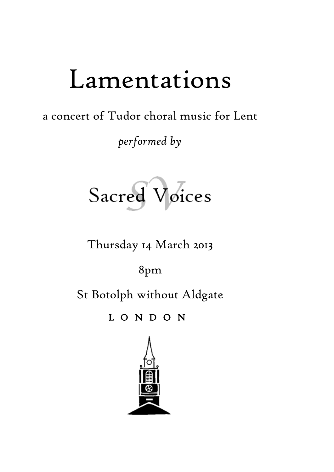## Lamentations

a concert of Tudor choral music for Lent

*performed by*

Sacred Voices

Thursday 14 March 2013

8pm

St Botolph without Aldgate

L O N D O N

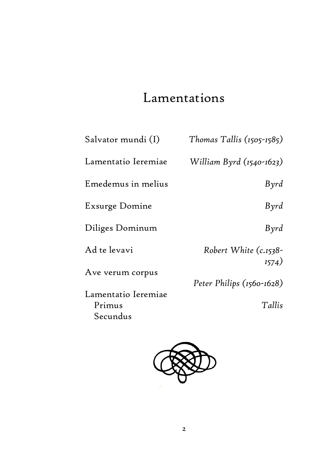## Lamentations

| Salvator mundi (I)  | Thomas Tallis $(1505 - 1585)$  |
|---------------------|--------------------------------|
| Lamentatio Ieremiae | William Byrd (1540-1623)       |
| Emedemus in melius  | Byrd                           |
| Exsurge Domine      | Byrd                           |
| Diliges Dominum     | $B\gamma rd$                   |
| Ad te levavi        | Robert White (c.1538-<br>1574) |
| Ave verum corpus    |                                |
|                     | Peter Philips (1560-1628)      |
| Lamentatio Ieremiae |                                |
| Primus              | Tallis                         |
| Secundus            |                                |

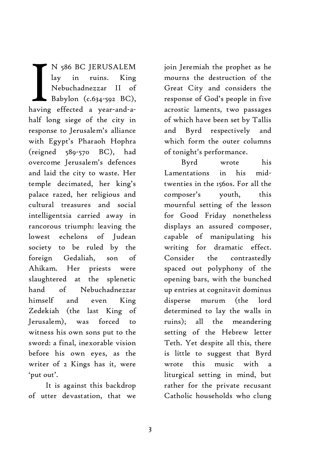N 586 BC JERUSALEM lay in ruins. King Nebuchadnezzar II of Babylon (c.634-592 BC), N 586 BC JERUSALEM<br>
lay in ruins. King<br>
Nebuchadnezzar II of<br>
Babylon (c.634-592 BC),<br>
having effected a year-and-ahalf long siege of the city in response to Jerusalem's alliance with Egypt's Pharaoh Hophra (reigned 589-570 BC), had overcome Jerusalem's defences and laid the city to waste. Her temple decimated, her king's palace razed, her religious and cultural treasures and social intelligentsia carried away in rancorous triumph: leaving the lowest echelons of Judean society to be ruled by the foreign Gedaliah, son of Ahikam. Her priests were slaughtered at the splenetic hand of Nebuchadnezzar himself and even King Zedekiah (the last King of Jerusalem), was forced to witness his own sons put to the sword: a final, inexorable vision before his own eyes, as the writer of 2 Kings has it, were 'put out'.

It is against this backdrop of utter devastation, that we

join Jeremiah the prophet as he mourns the destruction of the Great City and considers the response of God's people in five acrostic laments, two passages of which have been set by Tallis and Byrd respectively and which form the outer columns of tonight's performance.

Byrd wrote his Lamentations in his midtwenties in the 1560s. For all the composer's youth, this mournful setting of the lesson for Good Friday nonetheless displays an assured composer, capable of manipulating his writing for dramatic effect. Consider the contrastedly spaced out polyphony of the opening bars, with the bunched up entries at cognitavit dominus disperse murum (the lord determined to lay the walls in ruins); all the meandering setting of the Hebrew letter Teth. Yet despite all this, there is little to suggest that Byrd wrote this music with a liturgical setting in mind, but rather for the private recusant Catholic households who clung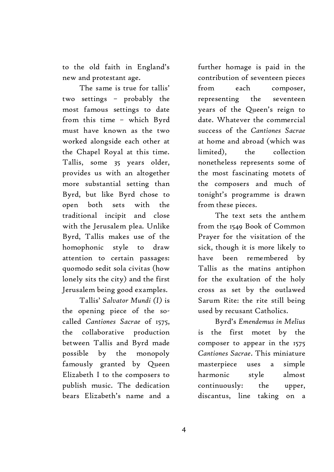to the old faith in England's new and protestant age.

The same is true for tallis' two settings – probably the most famous settings to date from this time – which Byrd must have known as the two worked alongside each other at the Chapel Royal at this time. Tallis, some 35 years older, provides us with an altogether more substantial setting than Byrd, but like Byrd chose to open both sets with the traditional incipit and close with the Jerusalem plea. Unlike Byrd, Tallis makes use of the homophonic style to draw attention to certain passages: quomodo sedit sola civitas (how lonely sits the city) and the first Jerusalem being good examples.

Tallis' *Salvator Mundi (I)* is the opening piece of the socalled *Cantiones Sacrae* of 1575, the collaborative production between Tallis and Byrd made possible by the monopoly famously granted by Queen Elizabeth I to the composers to publish music. The dedication bears Elizabeth's name and a further homage is paid in the contribution of seventeen pieces from each composer, representing the seventeen years of the Queen's reign to date. Whatever the commercial success of the *Cantiones Sacrae* at home and abroad (which was limited), the collection nonetheless represents some of the most fascinating motets of the composers and much of tonight's programme is drawn from these pieces.

The text sets the anthem from the 1549 Book of Common Prayer for the visitation of the sick, though it is more likely to have been remembered by Tallis as the matins antiphon for the exultation of the holy cross as set by the outlawed Sarum Rite: the rite still being used by recusant Catholics.

Byrd's *Emendemus in Melius* is the first motet by the composer to appear in the 1575 *Cantiones Sacrae*. This miniature masterpiece uses a simple harmonic style almost continuously: the upper, discantus, line taking on a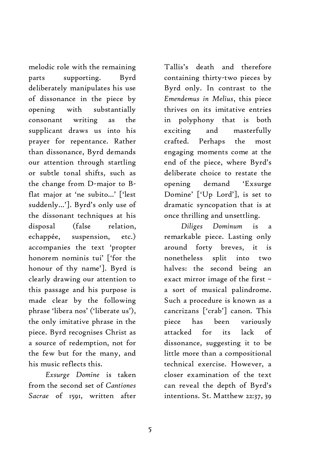melodic role with the remaining parts supporting. Byrd deliberately manipulates his use of dissonance in the piece by opening with substantially consonant writing as the supplicant draws us into his prayer for repentance. Rather than dissonance, Byrd demands our attention through startling or subtle tonal shifts, such as the change from D-major to Bflat major at 'ne subito…' ['lest suddenly…']. Byrd's only use of the dissonant techniques at his disposal (false relation, echappée, suspension, etc.) accompanies the text 'propter honorem nominis tui' ['for the honour of thy name']. Byrd is clearly drawing our attention to this passage and his purpose is made clear by the following phrase 'libera nos' ('liberate us'), the only imitative phrase in the piece. Byrd recognises Christ as a source of redemption, not for the few but for the many, and his music reflects this.

*Exsurge Domine* is taken from the second set of *Cantiones Sacrae* of 1591, written after

Tallis's death and therefore containing thirty-two pieces by Byrd only. In contrast to the *Emendemus in Melius*, this piece thrives on its imitative entries in polyphony that is both exciting and masterfully crafted. Perhaps the most engaging moments come at the end of the piece, where Byrd's deliberate choice to restate the opening demand 'Exsurge Domine' ['Up Lord'], is set to dramatic syncopation that is at once thrilling and unsettling.

*Diliges Dominum* is a remarkable piece. Lasting only around forty breves, it is nonetheless split into two halves: the second being an exact mirror image of the first – a sort of musical palindrome. Such a procedure is known as a cancrizans ['crab'] canon. This piece has been variously attacked for its lack of dissonance, suggesting it to be little more than a compositional technical exercise. However, a closer examination of the text can reveal the depth of Byrd's intentions. St. Matthew 22:37, 39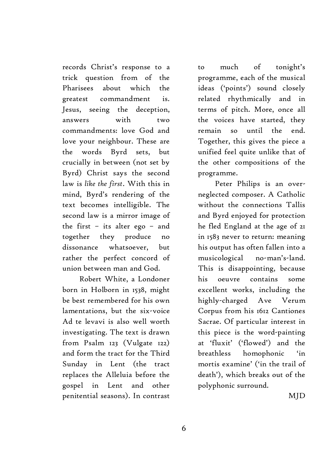records Christ's response to a trick question from of the Pharisees about which the greatest commandment is. Jesus, seeing the deception, answers with two commandments: love God and love your neighbour. These are the words Byrd sets, but crucially in between (not set by Byrd) Christ says the second law is *like the first*. With this in mind, Byrd's rendering of the text becomes intelligible. The second law is a mirror image of the first – its alter ego – and together they produce no dissonance whatsoever, but rather the perfect concord of union between man and God.

Robert White, a Londoner born in Holborn in 1538, might be best remembered for his own lamentations, but the six-voice Ad te levavi is also well worth investigating. The text is drawn from Psalm 123 (Vulgate 122) and form the tract for the Third Sunday in Lent (the tract replaces the Alleluia before the gospel in Lent and other penitential seasons). In contrast

to much of tonight's programme, each of the musical ideas ('points') sound closely related rhythmically and in terms of pitch. More, once all the voices have started, they remain so until the end. Together, this gives the piece a unified feel quite unlike that of the other compositions of the programme.

Peter Philips is an overneglected composer. A Catholic without the connections Tallis and Byrd enjoyed for protection he fled England at the age of 21 in 1583 never to return: meaning his output has often fallen into a musicological no-man's-land. This is disappointing, because his oeuvre contains some excellent works, including the highly-charged Ave Verum Corpus from his 1612 Cantiones Sacrae. Of particular interest in this piece is the word-painting at 'fluxit' ('flowed') and the breathless homophonic 'in mortis examine' ('in the trail of death'), which breaks out of the polyphonic surround.

MJD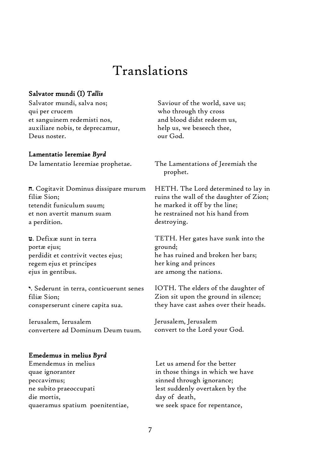### Translations

#### Salvator mundi (I) *Tallis*

Salvator mundi, salva nos; qui per crucem et sanguinem redemisti nos, auxiliare nobis, te deprecamur, Deus noster.

#### Lamentatio Ieremiae *Byrd*

De lamentatio Ieremiae prophetae.

**ח**. Cogitavit Dominus dissipare murum filiæ Sion; tetendit funiculum suum; et non avertit manum suam a perdition.

**ט**. Defixæ sunt in terra portæ ejus; perdidit et contrivit vectes ejus; regem ejus et principes ejus in gentibus.

**י**. Sederunt in terra, conticuerunt senes filiæ Sion; consperserunt cinere capita sua.

Ierusalem, Ierusalem convertere ad Dominum Deum tuum.

#### Emedemus in melius *Byrd*

Emendemus in melius quae ignoranter peccavimus; ne subito praeoccupati die mortis, quaeramus spatium poenitentiae,

Saviour of the world, save us; who through thy cross and blood didst redeem us, help us, we beseech thee, our God.

The Lamentations of Jeremiah the prophet.

HETH. The Lord determined to lay in ruins the wall of the daughter of Zion; he marked it off by the line; he restrained not his hand from destroying.

TETH. Her gates have sunk into the ground; he has ruined and broken her bars; her king and princes are among the nations.

IOTH. The elders of the daughter of Zion sit upon the ground in silence; they have cast ashes over their heads.

Jerusalem, Jerusalem convert to the Lord your God.

Let us amend for the better in those things in which we have sinned through ignorance; lest suddenly overtaken by the day of death, we seek space for repentance,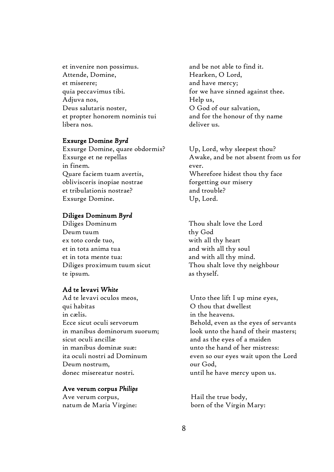et invenire non possimus. Attende, Domine, et miserere; quia peccavimus tibi. Adjuva nos, Deus salutaris noster, et propter honorem nominis tui libera nos.

#### Exsurge Domine *Byrd*

Exsurge Domine, quare obdormis? Exsurge et ne repellas in finem. Quare faciem tuam avertis, oblivisceris inopiae nostrae et tribulationis nostrae? Exsurge Domine.

#### Diliges Dominum *Byrd*

Diliges Dominum Deum tuum ex toto corde tuo, et in tota anima tua et in tota mente tua: Diliges proximum tuum sicut te ipsum.

#### Ad te levavi *White*

Ad te levavi oculos meos, qui habitas in cælis. Ecce sicut oculi servorum in manibus dominorum suorum; sicut oculi ancillæ in manibus dominæ suæ: ita oculi nostri ad Dominum Deum nostrum, donec misereatur nostri.

#### Ave verum corpus *Philips*

Ave verum corpus, natum de Maria Virgine: and be not able to find it. Hearken, O Lord, and have mercy; for we have sinned against thee. Help us, O God of our salvation, and for the honour of thy name deliver us.

Up, Lord, why sleepest thou? Awake, and be not absent from us for ever. Wherefore hidest thou thy face forgetting our misery and trouble? Up, Lord.

Thou shalt love the Lord thy God with all thy heart and with all thy soul and with all thy mind. Thou shalt love thy neighbour as thyself.

Unto thee lift I up mine eyes, O thou that dwellest in the heavens. Behold, even as the eyes of servants look unto the hand of their masters; and as the eyes of a maiden unto the hand of her mistress: even so our eyes wait upon the Lord our God, until he have mercy upon us.

Hail the true body, born of the Virgin Mary: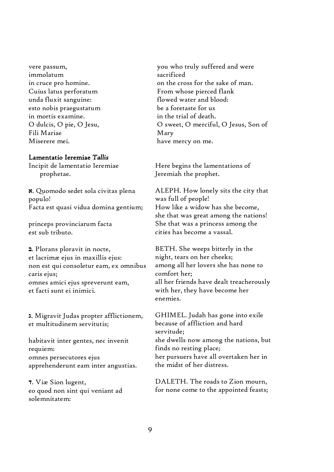vere passum, immolatum in cruce pro homine. Cuius latus perforatum unda fluxit sanguine: esto nobis praegustatum in mortis examine. O dulcis, O pie, O Jesu, Fili Mariae Miserere mei.

#### Lamentatio Ieremiae *Tallis*

Incipit de lamentatio Ieremiae prophetae.

**א**. Quomodo sedet sola civitas plena populo! Facta est quasi vidua domina gentium;

princeps provinciarum facta est sub tributo.

**ב**. Plorans ploravit in nocte, et lacrimæ ejus in maxillis ejus: non est qui consoletur eam, ex omnibus caris ejus; omnes amici ejus spreverunt eam, et facti sunt ei inimici.

**ג**. Migravit Judas propter afflictionem, et multitudinem servitutis;

habitavit inter gentes, nec invenit requiem: omnes persecutores ejus apprehenderunt eam inter angustias.

**ד**. Viæ Sion lugent, eo quod non sint qui veniant ad solemnitatem:

you who truly suffered and were sacrificed on the cross for the sake of man. From whose pierced flank flowed water and blood: be a foretaste for us in the trial of death. O sweet, O merciful, O Jesus, Son of Mary have mercy on me.

Here begins the lamentations of Jeremiah the prophet.

ALEPH. How lonely sits the city that was full of people! How like a widow has she become, she that was great among the nations! She that was a princess among the cities has become a vassal.

BETH. She weeps bitterly in the night, tears on her cheeks; among all her lovers she has none to comfort her; all her friends have dealt treacherously with her, they have become her enemies.

GHIMEL. Judah has gone into exile because of affliction and hard servitude; she dwells now among the nations, but finds no resting place; her pursuers have all overtaken her in the midst of her distress.

DALETH. The roads to Zion mourn, for none come to the appointed feasts;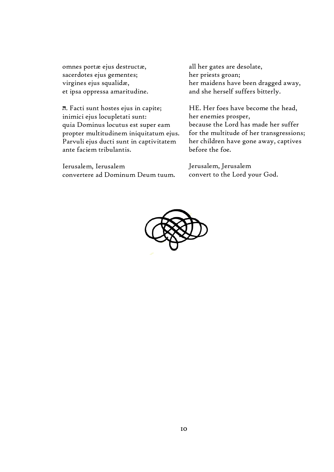omnes portæ ejus destructæ, sacerdotes ejus gementes; virgines ejus squalidæ, et ipsa oppressa amaritudine.

**ה**. Facti sunt hostes ejus in capite; inimici ejus locupletati sunt: quia Dominus locutus est super eam propter multitudinem iniquitatum ejus. Parvuli ejus ducti sunt in captivitatem ante faciem tribulantis.

Ierusalem, Ierusalem convertere ad Dominum Deum tuum.

all her gates are desolate, her priests groan; her maidens have been dragged away, and she herself suffers bitterly.

HE. Her foes have become the head, her enemies prosper, because the Lord has made her suffer for the multitude of her transgressions; her children have gone away, captives before the foe.

Jerusalem, Jerusalem convert to the Lord your God.

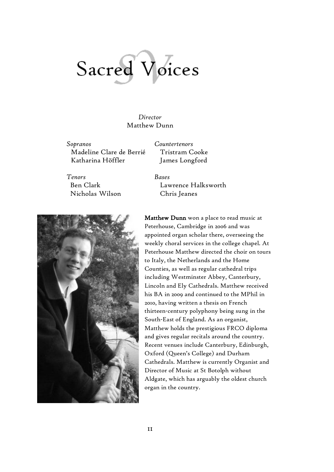# Sacred Voices

*Director* Matthew Dunn

*Sopranos Countertenors* Madeline Clare de Berrié Katharina Höffler

Tristram Cooke James Longford

*Tenors Bases* Ben Clark Nicholas Wilson

Lawrence Halksworth Chris Jeanes



Matthew Dunn won a place to read music at Peterhouse, Cambridge in 2006 and was appointed organ scholar there, overseeing the weekly choral services in the college chapel. At Peterhouse Matthew directed the choir on tours to Italy, the Netherlands and the Home Counties, as well as regular cathedral trips including Westminster Abbey, Canterbury, Lincoln and Ely Cathedrals. Matthew received his BA in 2009 and continued to the MPhil in 2010, having written a thesis on French thirteen-century polyphony being sung in the South-East of England. As an organist, Matthew holds the prestigious FRCO diploma and gives regular recitals around the country. Recent venues include Canterbury, Edinburgh, Oxford (Queen's College) and Durham Cathedrals. Matthew is currently Organist and Director of Music at St Botolph without Aldgate, which has arguably the oldest church organ in the country.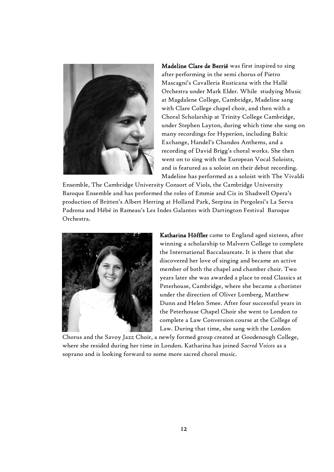

Madeline Clare de Berrié was first inspired to sing after performing in the semi chorus of Pietro Mascagni's Cavalleria Rusticana with the Hallé Orchestra under Mark Elder. While studying Music at Magdalene College, Cambridge, Madeline sang with Clare College chapel choir, and then with a Choral Scholarship at Trinity College Cambridge, under Stephen Layton, during which time she sang on many recordings for Hyperion, including Baltic Exchange, Handel's Chandos Anthems, and a recording of David Brigg's choral works. She then went on to sing with the European Vocal Soloists, and is featured as a soloist on their debut recording. Madeline has performed as a soloist with The Vivaldi

Ensemble, The Cambridge University Consort of Viols, the Cambridge University Baroque Ensemble and has performed the roles of Emmie and Cis in Shadwell Opera's production of Britten's Albert Herring at Holland Park, Serpina in Pergolesi's La Serva Padrona and Hébé in Rameau's Les Indes Galantes with Dartington Festival Baroque Orchestra.



Katharina Höffler came to England aged sixteen, after winning a scholarship to Malvern College to complete the International Baccalaureate. It is there that she discovered her love of singing and became an active member of both the chapel and chamber choir. Two years later she was awarded a place to read Classics at Peterhouse, Cambridge, where she became a chorister under the direction of Oliver Lomberg, Matthew Dunn and Helen Smee. After four successful years in the Peterhouse Chapel Choir she went to London to complete a Law Conversion course at the College of Law. During that time, she sang with the London

Chorus and the Savoy Jazz Choir, a newly formed group created at Goodenough College, where she resided during her time in London. Katharina has joined *Sacred Voices* as a soprano and is looking forward to some more sacred choral music.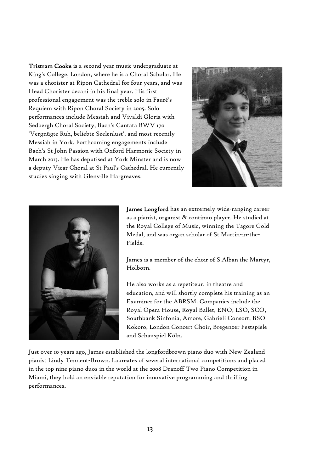Tristram Cooke is a second year music undergraduate at King's College, London, where he is a Choral Scholar. He was a chorister at Ripon Cathedral for four years, and was Head Chorister decani in his final year. His first professional engagement was the treble solo in Fauré's Requiem with Ripon Choral Society in 2005. Solo performances include Messiah and Vivaldi Gloria with Sedbergh Choral Society, Bach's Cantata BWV 170 'Vergnügte Ruh, beliebte Seelenlust', and most recently Messiah in York. Forthcoming engagements include Bach's St John Passion with Oxford Harmonic Society in March 2013. He has deputised at York Minster and is now a deputy Vicar Choral at St Paul's Cathedral. He currently studies singing with Glenville Hargreaves.





James Longford has an extremely wide-ranging career as a pianist, organist & continuo player. He studied at the Royal College of Music, winning the Tagore Gold Medal, and was organ scholar of St Martin-in-the-Fields.

James is a member of the choir of S.Alban the Martyr, Holborn.

He also works as a repetiteur, in theatre and education, and will shortly complete his training as an Examiner for the ABRSM. Companies include the Royal Opera House, Royal Ballet, ENO, LSO, SCO, Southbank Sinfonia, Amore, Gabrieli Consort, BSO Kokoro, London Concert Choir, Bregenzer Festspiele and Schauspiel Köln.

Just over 10 years ago, James established the longfordbrown piano duo with New Zealand pianist Lindy Tennent-Brown. Laureates of several international competitions and placed in the top nine piano duos in the world at the 2008 Dranoff Two Piano Competition in Miami, they hold an enviable reputation for innovative programming and thrilling performances.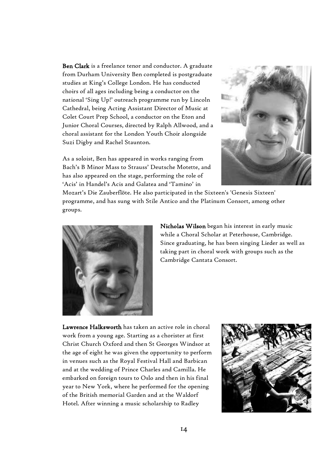Ben Clark is a freelance tenor and conductor. A graduate from Durham University Ben completed is postgraduate studies at King's College London. He has conducted choirs of all ages including being a conductor on the national 'Sing Up!' outreach programme run by Lincoln Cathedral, being Acting Assistant Director of Music at Colet Court Prep School, a conductor on the Eton and Junior Choral Courses, directed by Ralph Allwood, and a choral assistant for the London Youth Choir alongside Suzi Digby and Rachel Staunton.

As a soloist, Ben has appeared in works ranging from Bach's B Minor Mass to Strauss' Deutsche Motette, and has also appeared on the stage, performing the role of 'Acis' in Handel's Acis and Galatea and 'Tamino' in



Mozart's Die Zauberflöte. He also participated in the Sixteen's 'Genesis Sixteen' programme, and has sung with Stile Antico and the Platinum Consort, among other groups.



Nicholas Wilson began his interest in early music while a Choral Scholar at Peterhouse, Cambridge. Since graduating, he has been singing Lieder as well as taking part in choral work with groups such as the Cambridge Cantata Consort.

Lawrence Halksworth has taken an active role in choral work from a young age. Starting as a chorister at first Christ Church Oxford and then St Georges Windsor at the age of eight he was given the opportunity to perform in venues such as the Royal Festival Hall and Barbican and at the wedding of Prince Charles and Camilla. He embarked on foreign tours to Oslo and then in his final year to New York, where he performed for the opening of the British memorial Garden and at the Waldorf Hotel. After winning a music scholarship to Radley

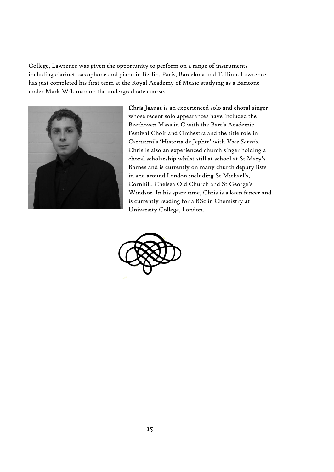College, Lawrence was given the opportunity to perform on a range of instruments including clarinet, saxophone and piano in Berlin, Paris, Barcelona and Tallinn. Lawrence has just completed his first term at the Royal Academy of Music studying as a Baritone under Mark Wildman on the undergraduate course.



Chris Jeanes is an experienced solo and choral singer whose recent solo appearances have included the Beethoven Mass in C with the Bart's Academic Festival Choir and Orchestra and the title role in Carrisimi's 'Historia de Jephte' with *Voce Sanctis*. Chris is also an experienced church singer holding a choral scholarship whilst still at school at St Mary's Barnes and is currently on many church deputy lists in and around London including St Michael's, Cornhill, Chelsea Old Church and St George's Windsor. In his spare time, Chris is a keen fencer and is currently reading for a BSc in Chemistry at University College, London.